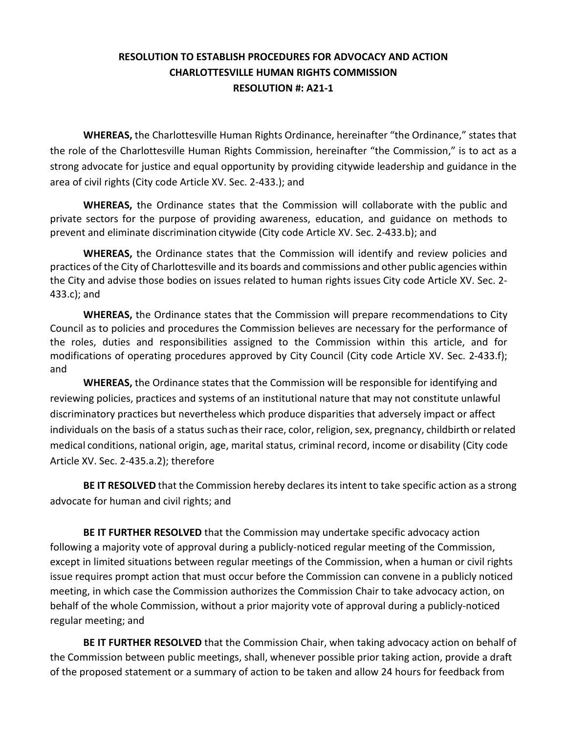## **RESOLUTION TO ESTABLISH PROCEDURES FOR ADVOCACY AND ACTION CHARLOTTESVILLE HUMAN RIGHTS COMMISSION RESOLUTION #: A21-1**

**WHEREAS,** the Charlottesville Human Rights Ordinance, hereinafter "the Ordinance," states that the role of the Charlottesville Human Rights Commission, hereinafter "the Commission," is to act as a strong advocate for justice and equal opportunity by providing citywide leadership and guidance in the area of civil rights (City code Article XV. Sec. 2-433.); and

**WHEREAS,** the Ordinance states that the Commission will collaborate with the public and private sectors for the purpose of providing awareness, education, and guidance on methods to prevent and eliminate discrimination citywide (City code Article XV. Sec. 2-433.b); and

**WHEREAS,** the Ordinance states that the Commission will identify and review policies and practices of the City of Charlottesville and its boards and commissions and other public agencies within the City and advise those bodies on issues related to human rights issues City code Article XV. Sec. 2- 433.c); and

**WHEREAS,** the Ordinance states that the Commission will prepare recommendations to City Council as to policies and procedures the Commission believes are necessary for the performance of the roles, duties and responsibilities assigned to the Commission within this article, and for modifications of operating procedures approved by City Council (City code Article XV. Sec. 2-433.f); and

**WHEREAS,** the Ordinance states that the Commission will be responsible for identifying and reviewing policies, practices and systems of an institutional nature that may not constitute unlawful discriminatory practices but nevertheless which produce disparities that adversely impact or affect individuals on the basis of a status such as their race, color, religion, sex, pregnancy, childbirth or related medical conditions, national origin, age, marital status, criminal record, income or disability (City code Article XV. Sec. 2-435.a.2); therefore

**BE IT RESOLVED** that the Commission hereby declares its intent to take specific action as a strong advocate for human and civil rights; and

**BE IT FURTHER RESOLVED** that the Commission may undertake specific advocacy action following a majority vote of approval during a publicly-noticed regular meeting of the Commission, except in limited situations between regular meetings of the Commission, when a human or civil rights issue requires prompt action that must occur before the Commission can convene in a publicly noticed meeting, in which case the Commission authorizes the Commission Chair to take advocacy action, on behalf of the whole Commission, without a prior majority vote of approval during a publicly-noticed regular meeting; and

**BE IT FURTHER RESOLVED** that the Commission Chair, when taking advocacy action on behalf of the Commission between public meetings, shall, whenever possible prior taking action, provide a draft of the proposed statement or a summary of action to be taken and allow 24 hours for feedback from